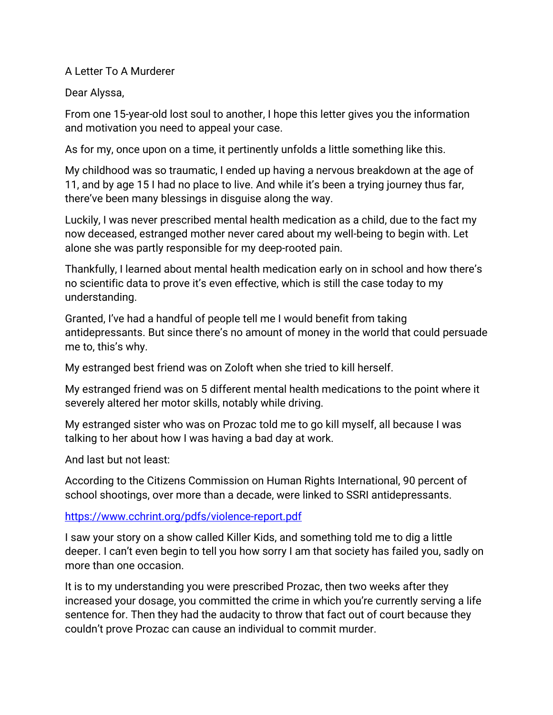## A Letter To A Murderer

## Dear Alyssa,

From one 15-year-old lost soul to another, I hope this letter gives you the information and motivation you need to appeal your case.

As for my, once upon on a time, it pertinently unfolds a little something like this.

My childhood was so traumatic, I ended up having a nervous breakdown at the age of 11, and by age 15 I had no place to live. And while it's been a trying journey thus far, there've been many blessings in disguise along the way.

Luckily, I was never prescribed mental health medication as a child, due to the fact my now deceased, estranged mother never cared about my well-being to begin with. Let alone she was partly responsible for my deep-rooted pain.

Thankfully, I learned about mental health medication early on in school and how there's no scientific data to prove it's even effective, which is still the case today to my understanding.

Granted, I've had a handful of people tell me I would benefit from taking antidepressants. But since there's no amount of money in the world that could persuade me to, this's why.

My estranged best friend was on Zoloft when she tried to kill herself.

My estranged friend was on 5 different mental health medications to the point where it severely altered her motor skills, notably while driving.

My estranged sister who was on Prozac told me to go kill myself, all because I was talking to her about how I was having a bad day at work.

And last but not least:

According to the Citizens Commission on Human Rights International, 90 percent of school shootings, over more than a decade, were linked to SSRI antidepressants.

<https://www.cchrint.org/pdfs/violence-report.pdf>

I saw your story on a show called Killer Kids, and something told me to dig a little deeper. I can't even begin to tell you how sorry I am that society has failed you, sadly on more than one occasion.

It is to my understanding you were prescribed Prozac, then two weeks after they increased your dosage, you committed the crime in which you're currently serving a life sentence for. Then they had the audacity to throw that fact out of court because they couldn't prove Prozac can cause an individual to commit murder.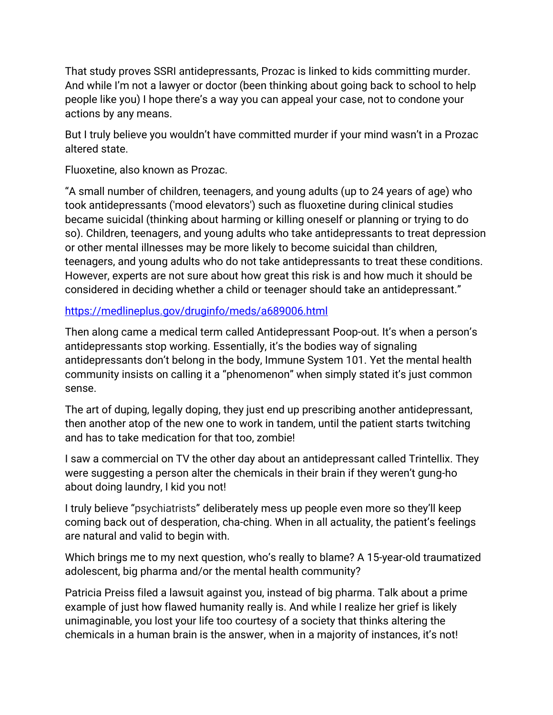That study proves SSRI antidepressants, Prozac is linked to kids committing murder. And while I'm not a lawyer or doctor (been thinking about going back to school to help people like you) I hope there's a way you can appeal your case, not to condone your actions by any means.

But I truly believe you wouldn't have committed murder if your mind wasn't in a Prozac altered state.

Fluoxetine, also known as Prozac.

"A small number of children, teenagers, and young adults (up to 24 years of age) who took antidepressants ('mood elevators') such as fluoxetine during clinical studies became suicidal (thinking about harming or killing oneself or planning or trying to do so). Children, teenagers, and young adults who take antidepressants to treat depression or other mental illnesses may be more likely to become suicidal than children, teenagers, and young adults who do not take antidepressants to treat these conditions. However, experts are not sure about how great this risk is and how much it should be considered in deciding whether a child or teenager should take an antidepressant."

<https://medlineplus.gov/druginfo/meds/a689006.html>

Then along came a medical term called Antidepressant Poop-out. It's when a person's antidepressants stop working. Essentially, it's the bodies way of signaling antidepressants don't belong in the body, Immune System 101. Yet the mental health community insists on calling it a "phenomenon" when simply stated it's just common sense.

The art of duping, legally doping, they just end up prescribing another antidepressant, then another atop of the new one to work in tandem, until the patient starts twitching and has to take medication for that too, zombie!

I saw a commercial on TV the other day about an antidepressant called Trintellix. They were suggesting a person alter the chemicals in their brain if they weren't gung-ho about doing laundry, I kid you not!

I truly believe "psychiatrists" deliberately mess up people even more so they'll keep coming back out of desperation, cha-ching. When in all actuality, the patient's feelings are natural and valid to begin with.

Which brings me to my next question, who's really to blame? A 15-year-old traumatized adolescent, big pharma and/or the mental health community?

Patricia Preiss filed a lawsuit against you, instead of big pharma. Talk about a prime example of just how flawed humanity really is. And while I realize her grief is likely unimaginable, you lost your life too courtesy of a society that thinks altering the chemicals in a human brain is the answer, when in a majority of instances, it's not!